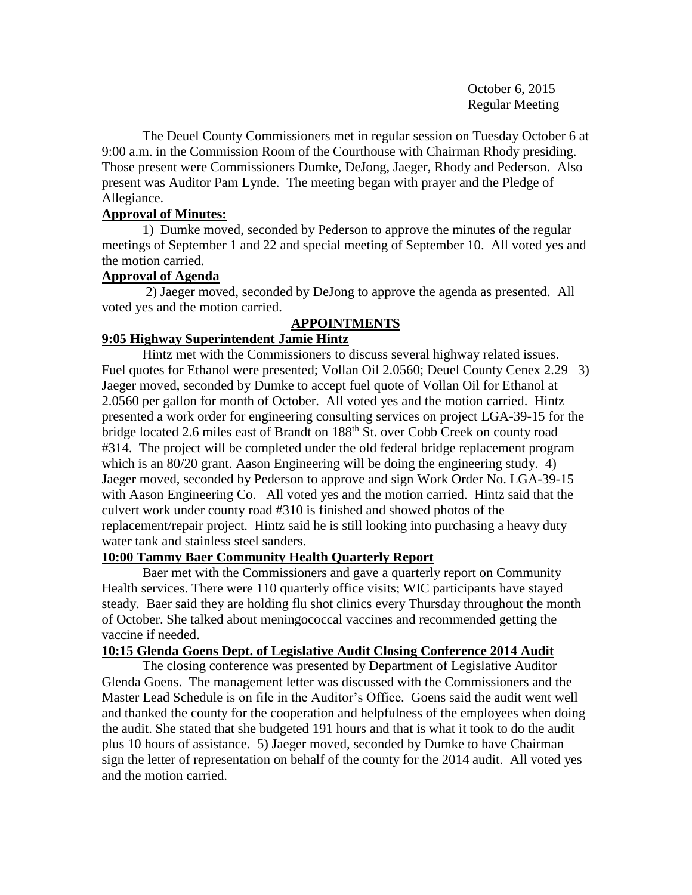October 6, 2015 Regular Meeting

The Deuel County Commissioners met in regular session on Tuesday October 6 at 9:00 a.m. in the Commission Room of the Courthouse with Chairman Rhody presiding. Those present were Commissioners Dumke, DeJong, Jaeger, Rhody and Pederson. Also present was Auditor Pam Lynde. The meeting began with prayer and the Pledge of Allegiance.

# **Approval of Minutes:**

1) Dumke moved, seconded by Pederson to approve the minutes of the regular meetings of September 1 and 22 and special meeting of September 10. All voted yes and the motion carried.

# **Approval of Agenda**

2) Jaeger moved, seconded by DeJong to approve the agenda as presented. All voted yes and the motion carried.

# **APPOINTMENTS**

# **9:05 Highway Superintendent Jamie Hintz**

Hintz met with the Commissioners to discuss several highway related issues. Fuel quotes for Ethanol were presented; Vollan Oil 2.0560; Deuel County Cenex 2.29 3) Jaeger moved, seconded by Dumke to accept fuel quote of Vollan Oil for Ethanol at 2.0560 per gallon for month of October. All voted yes and the motion carried. Hintz presented a work order for engineering consulting services on project LGA-39-15 for the bridge located 2.6 miles east of Brandt on 188<sup>th</sup> St. over Cobb Creek on county road #314. The project will be completed under the old federal bridge replacement program which is an 80/20 grant. Aason Engineering will be doing the engineering study. 4) Jaeger moved, seconded by Pederson to approve and sign Work Order No. LGA-39-15 with Aason Engineering Co. All voted yes and the motion carried. Hintz said that the culvert work under county road #310 is finished and showed photos of the replacement/repair project. Hintz said he is still looking into purchasing a heavy duty water tank and stainless steel sanders.

# **10:00 Tammy Baer Community Health Quarterly Report**

Baer met with the Commissioners and gave a quarterly report on Community Health services. There were 110 quarterly office visits; WIC participants have stayed steady. Baer said they are holding flu shot clinics every Thursday throughout the month of October. She talked about meningococcal vaccines and recommended getting the vaccine if needed.

# **10:15 Glenda Goens Dept. of Legislative Audit Closing Conference 2014 Audit**

The closing conference was presented by Department of Legislative Auditor Glenda Goens. The management letter was discussed with the Commissioners and the Master Lead Schedule is on file in the Auditor's Office. Goens said the audit went well and thanked the county for the cooperation and helpfulness of the employees when doing the audit. She stated that she budgeted 191 hours and that is what it took to do the audit plus 10 hours of assistance. 5) Jaeger moved, seconded by Dumke to have Chairman sign the letter of representation on behalf of the county for the 2014 audit. All voted yes and the motion carried.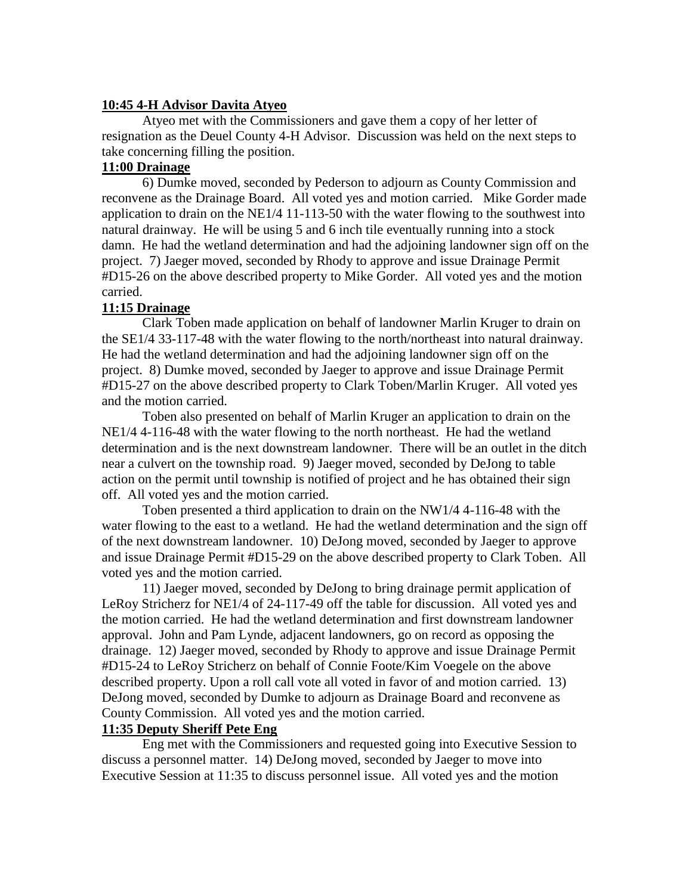#### **10:45 4-H Advisor Davita Atyeo**

Atyeo met with the Commissioners and gave them a copy of her letter of resignation as the Deuel County 4-H Advisor. Discussion was held on the next steps to take concerning filling the position.

# **11:00 Drainage**

6) Dumke moved, seconded by Pederson to adjourn as County Commission and reconvene as the Drainage Board. All voted yes and motion carried. Mike Gorder made application to drain on the NE1/4 11-113-50 with the water flowing to the southwest into natural drainway. He will be using 5 and 6 inch tile eventually running into a stock damn. He had the wetland determination and had the adjoining landowner sign off on the project. 7) Jaeger moved, seconded by Rhody to approve and issue Drainage Permit #D15-26 on the above described property to Mike Gorder. All voted yes and the motion carried.

# **11:15 Drainage**

Clark Toben made application on behalf of landowner Marlin Kruger to drain on the SE1/4 33-117-48 with the water flowing to the north/northeast into natural drainway. He had the wetland determination and had the adjoining landowner sign off on the project. 8) Dumke moved, seconded by Jaeger to approve and issue Drainage Permit #D15-27 on the above described property to Clark Toben/Marlin Kruger. All voted yes and the motion carried.

Toben also presented on behalf of Marlin Kruger an application to drain on the NE1/4 4-116-48 with the water flowing to the north northeast. He had the wetland determination and is the next downstream landowner. There will be an outlet in the ditch near a culvert on the township road. 9) Jaeger moved, seconded by DeJong to table action on the permit until township is notified of project and he has obtained their sign off. All voted yes and the motion carried.

Toben presented a third application to drain on the NW1/4 4-116-48 with the water flowing to the east to a wetland. He had the wetland determination and the sign off of the next downstream landowner. 10) DeJong moved, seconded by Jaeger to approve and issue Drainage Permit #D15-29 on the above described property to Clark Toben. All voted yes and the motion carried.

11) Jaeger moved, seconded by DeJong to bring drainage permit application of LeRoy Stricherz for NE1/4 of 24-117-49 off the table for discussion. All voted yes and the motion carried. He had the wetland determination and first downstream landowner approval. John and Pam Lynde, adjacent landowners, go on record as opposing the drainage. 12) Jaeger moved, seconded by Rhody to approve and issue Drainage Permit #D15-24 to LeRoy Stricherz on behalf of Connie Foote/Kim Voegele on the above described property. Upon a roll call vote all voted in favor of and motion carried. 13) DeJong moved, seconded by Dumke to adjourn as Drainage Board and reconvene as County Commission. All voted yes and the motion carried.

# **11:35 Deputy Sheriff Pete Eng**

Eng met with the Commissioners and requested going into Executive Session to discuss a personnel matter. 14) DeJong moved, seconded by Jaeger to move into Executive Session at 11:35 to discuss personnel issue. All voted yes and the motion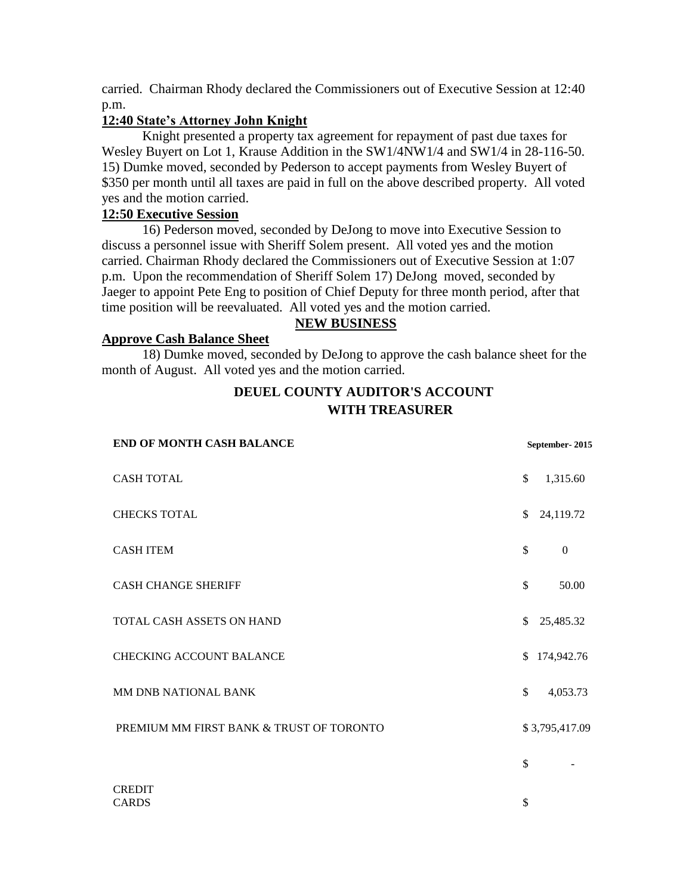carried. Chairman Rhody declared the Commissioners out of Executive Session at 12:40 p.m.

# **12:40 State's Attorney John Knight**

Knight presented a property tax agreement for repayment of past due taxes for Wesley Buyert on Lot 1, Krause Addition in the SW1/4NW1/4 and SW1/4 in 28-116-50. 15) Dumke moved, seconded by Pederson to accept payments from Wesley Buyert of \$350 per month until all taxes are paid in full on the above described property. All voted yes and the motion carried.

# **12:50 Executive Session**

16) Pederson moved, seconded by DeJong to move into Executive Session to discuss a personnel issue with Sheriff Solem present. All voted yes and the motion carried. Chairman Rhody declared the Commissioners out of Executive Session at 1:07 p.m. Upon the recommendation of Sheriff Solem 17) DeJong moved, seconded by Jaeger to appoint Pete Eng to position of Chief Deputy for three month period, after that time position will be reevaluated. All voted yes and the motion carried.

# **NEW BUSINESS**

#### **Approve Cash Balance Sheet**

18) Dumke moved, seconded by DeJong to approve the cash balance sheet for the month of August. All voted yes and the motion carried.

# **DEUEL COUNTY AUDITOR'S ACCOUNT WITH TREASURER**

| END OF MONTH CASH BALANCE                | September-2015 |                |
|------------------------------------------|----------------|----------------|
| <b>CASH TOTAL</b>                        | \$             | 1,315.60       |
| <b>CHECKS TOTAL</b>                      | \$             | 24,119.72      |
| <b>CASH ITEM</b>                         | \$             | $\theta$       |
| <b>CASH CHANGE SHERIFF</b>               | \$             | 50.00          |
| TOTAL CASH ASSETS ON HAND                | \$             | 25,485.32      |
| <b>CHECKING ACCOUNT BALANCE</b>          | \$             | 174,942.76     |
| MM DNB NATIONAL BANK                     | \$             | 4,053.73       |
| PREMIUM MM FIRST BANK & TRUST OF TORONTO |                | \$3,795,417.09 |
|                                          | \$             |                |
| <b>CREDIT</b><br><b>CARDS</b>            | \$             |                |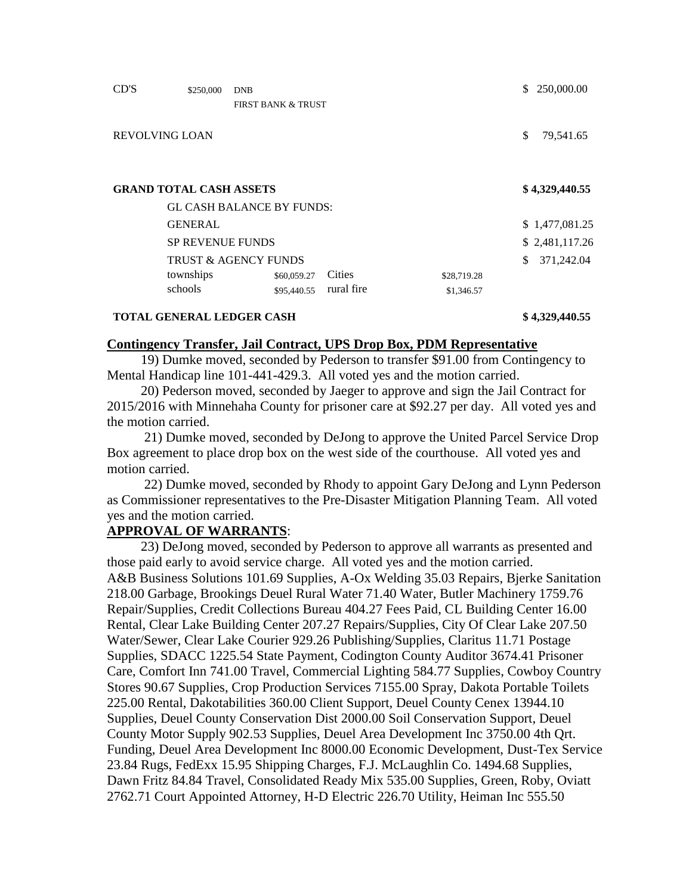| CD'S                            | \$250,000      | <b>DNB</b>                       |            |             | S. | 250,000.00     |
|---------------------------------|----------------|----------------------------------|------------|-------------|----|----------------|
|                                 |                | <b>FIRST BANK &amp; TRUST</b>    |            |             |    |                |
| <b>REVOLVING LOAN</b>           |                |                                  |            |             | \$ | 79,541.65      |
| <b>GRAND TOTAL CASH ASSETS</b>  |                |                                  |            |             |    | \$4,329,440.55 |
|                                 |                | <b>GL CASH BALANCE BY FUNDS:</b> |            |             |    |                |
|                                 | <b>GENERAL</b> |                                  |            |             |    | \$1,477,081.25 |
| <b>SP REVENUE FUNDS</b>         |                |                                  |            |             |    | \$2,481,117.26 |
| <b>TRUST &amp; AGENCY FUNDS</b> |                |                                  |            |             | \$ | 371,242.04     |
|                                 | townships      | \$60,059.27                      | Cities     | \$28,719.28 |    |                |
|                                 | schools        | \$95,440.55                      | rural fire | \$1,346.57  |    |                |
|                                 |                |                                  |            |             |    |                |

#### **TOTAL GENERAL LEDGER CASH \$ 4,329,440.55**

#### **Contingency Transfer, Jail Contract, UPS Drop Box, PDM Representative**

 19) Dumke moved, seconded by Pederson to transfer \$91.00 from Contingency to Mental Handicap line 101-441-429.3. All voted yes and the motion carried.

 20) Pederson moved, seconded by Jaeger to approve and sign the Jail Contract for 2015/2016 with Minnehaha County for prisoner care at \$92.27 per day. All voted yes and the motion carried.

 21) Dumke moved, seconded by DeJong to approve the United Parcel Service Drop Box agreement to place drop box on the west side of the courthouse. All voted yes and motion carried.

 22) Dumke moved, seconded by Rhody to appoint Gary DeJong and Lynn Pederson as Commissioner representatives to the Pre-Disaster Mitigation Planning Team. All voted yes and the motion carried.

# **APPROVAL OF WARRANTS**:

 23) DeJong moved, seconded by Pederson to approve all warrants as presented and those paid early to avoid service charge. All voted yes and the motion carried. A&B Business Solutions 101.69 Supplies, A-Ox Welding 35.03 Repairs, Bjerke Sanitation 218.00 Garbage, Brookings Deuel Rural Water 71.40 Water, Butler Machinery 1759.76 Repair/Supplies, Credit Collections Bureau 404.27 Fees Paid, CL Building Center 16.00 Rental, Clear Lake Building Center 207.27 Repairs/Supplies, City Of Clear Lake 207.50 Water/Sewer, Clear Lake Courier 929.26 Publishing/Supplies, Claritus 11.71 Postage Supplies, SDACC 1225.54 State Payment, Codington County Auditor 3674.41 Prisoner Care, Comfort Inn 741.00 Travel, Commercial Lighting 584.77 Supplies, Cowboy Country Stores 90.67 Supplies, Crop Production Services 7155.00 Spray, Dakota Portable Toilets 225.00 Rental, Dakotabilities 360.00 Client Support, Deuel County Cenex 13944.10 Supplies, Deuel County Conservation Dist 2000.00 Soil Conservation Support, Deuel County Motor Supply 902.53 Supplies, Deuel Area Development Inc 3750.00 4th Qrt. Funding, Deuel Area Development Inc 8000.00 Economic Development, Dust-Tex Service 23.84 Rugs, FedExx 15.95 Shipping Charges, F.J. McLaughlin Co. 1494.68 Supplies, Dawn Fritz 84.84 Travel, Consolidated Ready Mix 535.00 Supplies, Green, Roby, Oviatt 2762.71 Court Appointed Attorney, H-D Electric 226.70 Utility, Heiman Inc 555.50